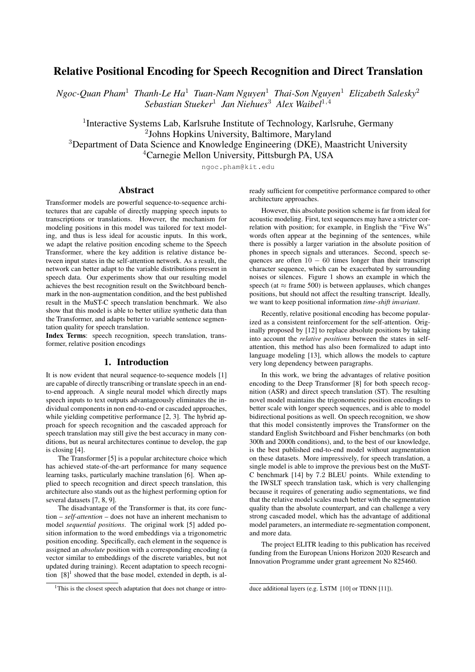# Relative Positional Encoding for Speech Recognition and Direct Translation

*Ngoc-Quan Pham*<sup>1</sup> *Thanh-Le Ha*<sup>1</sup> *Tuan-Nam Nguyen*<sup>1</sup> *Thai-Son Nguyen*<sup>1</sup> *Elizabeth Salesky*<sup>2</sup> *Sebastian Stueker*<sup>1</sup> *Jan Niehues*<sup>3</sup> *Alex Waibel*<sup>1</sup>,<sup>4</sup>

<sup>1</sup>Interactive Systems Lab, Karlsruhe Institute of Technology, Karlsruhe, Germany Johns Hopkins University, Baltimore, Maryland Department of Data Science and Knowledge Engineering (DKE), Maastricht University Carnegie Mellon University, Pittsburgh PA, USA

ngoc.pham@kit.edu

# Abstract

Transformer models are powerful sequence-to-sequence architectures that are capable of directly mapping speech inputs to transcriptions or translations. However, the mechanism for modeling positions in this model was tailored for text modeling, and thus is less ideal for acoustic inputs. In this work, we adapt the relative position encoding scheme to the Speech Transformer, where the key addition is relative distance between input states in the self-attention network. As a result, the network can better adapt to the variable distributions present in speech data. Our experiments show that our resulting model achieves the best recognition result on the Switchboard benchmark in the non-augmentation condition, and the best published result in the MuST-C speech translation benchmark. We also show that this model is able to better utilize synthetic data than the Transformer, and adapts better to variable sentence segmentation quality for speech translation.

Index Terms: speech recognition, speech translation, transformer, relative position encodings

# 1. Introduction

It is now evident that neural sequence-to-sequence models [1] are capable of directly transcribing or translate speech in an endto-end approach. A single neural model which directly maps speech inputs to text outputs advantageously eliminates the individual components in non end-to-end or cascaded approaches, while yielding competitive performance [2, 3]. The hybrid approach for speech recognition and the cascaded approach for speech translation may still give the best accuracy in many conditions, but as neural architectures continue to develop, the gap is closing [4].

The Transformer [5] is a popular architecture choice which has achieved state-of-the-art performance for many sequence learning tasks, particularly machine translation [6]. When applied to speech recognition and direct speech translation, this architecture also stands out as the highest performing option for several datasets [7, 8, 9].

The disadvantage of the Transformer is that, its core function – *self-attention* – does not have an inherent mechanism to model *sequential positions*. The original work [5] added position information to the word embeddings via a trigonometric position encoding. Specifically, each element in the sequence is assigned an *absolute* position with a corresponding encoding (a vector similar to embeddings of the discrete variables, but not updated during training). Recent adaptation to speech recognition  $[8]$ <sup>1</sup> showed that the base model, extended in depth, is already sufficient for competitive performance compared to other architecture approaches.

However, this absolute position scheme is far from ideal for acoustic modeling. First, text sequences may have a stricter correlation with position; for example, in English the "Five Ws" words often appear at the beginning of the sentences, while there is possibly a larger variation in the absolute position of phones in speech signals and utterances. Second, speech sequences are often  $10 - 60$  times longer than their transcript character sequence, which can be exacerbated by surrounding noises or silences. Figure 1 shows an example in which the speech (at  $\approx$  frame 500) is between applauses, which changes positions, but should not affect the resulting transcript. Ideally, we want to keep positional information *time-shift invariant*.

Recently, relative positional encoding has become popularized as a consistent reinforcement for the self-attention. Originally proposed by [12] to replace absolute positions by taking into account the *relative positions* between the states in selfattention, this method has also been formalized to adapt into language modeling [13], which allows the models to capture very long dependency between paragraphs.

In this work, we bring the advantages of relative position encoding to the Deep Transformer [8] for both speech recognition (ASR) and direct speech translation (ST). The resulting novel model maintains the trigonometric position encodings to better scale with longer speech sequences, and is able to model bidirectional positions as well. On speech recognition, we show that this model consistently improves the Transformer on the standard English Switchboard and Fisher benchmarks (on both 300h and 2000h conditions), and, to the best of our knowledge, is the best published end-to-end model without augmentation on these datasets. More impressively, for speech translation, a single model is able to improve the previous best on the MuST-C benchmark [14] by 7.2 BLEU points. While extending to the IWSLT speech translation task, which is very challenging because it requires of generating audio segmentations, we find that the relative model scales much better with the segmentation quality than the absolute counterpart, and can challenge a very strong cascaded model, which has the advantage of additional model parameters, an intermediate re-segmentation component, and more data.

The project ELITR leading to this publication has received funding from the European Unions Horizon 2020 Research and Innovation Programme under grant agreement No 825460.

 $1$ This is the closest speech adaptation that does not change or intro-

duce additional layers (e.g. LSTM [10] or TDNN [11]).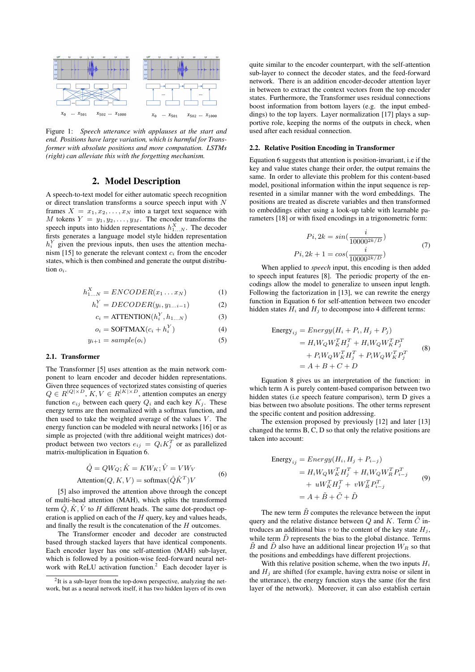

Figure 1: *Speech utterance with applauses at the start and end. Positions have large variation, which is harmful for Transformer with absolute positions and more computation. LSTMs (right) can alleviate this with the forgetting mechanism.*

# 2. Model Description

A speech-to-text model for either automatic speech recognition or direct translation transforms a source speech input with N frames  $X = x_1, x_2, \dots, x_N$  into a target text sequence with M tokens  $Y = y_1, y_2, \dots, y_M$ . The encoder transforms the speech inputs into hidden representations  $h_{1...N}^X$ . The decoder firsts generates a language model style hidden representation  $h_i^Y$  given the previous inputs, then uses the attention mechanism [15] to generate the relevant context  $c_i$  from the encoder states, which is then combined and generate the output distribution  $\alpha$ .

$$
h_{1...N}^X = ENCODER(x_1...x_N)
$$
 (1)

$$
h_i^Y = DECODER(y_i, y_{1...i-1})
$$
 (2)

$$
c_i = \text{ATTENTION}(h_i^Y, h_{1...N}) \tag{3}
$$

$$
o_i = \text{SOFTMAX}(c_i + h_i^Y) \tag{4}
$$

$$
y_{i+1} = sample(o_i) \tag{5}
$$

#### 2.1. Transformer

The Transformer [5] uses attention as the main network component to learn encoder and decoder hidden representations. Given three sequences of vectorized states consisting of queries  $Q \in R^{|Q| \times D}$ ,  $K, V \in R^{|K| \times D}$ , attention computes an energy function  $e_{ij}$  between each query  $Q_i$  and each key  $K_j$ . These energy terms are then normalized with a softmax function, and then used to take the weighted average of the values  $V$ . The energy function can be modeled with neural networks [16] or as simple as projected (with thre additional weight matrices) dotproduct between two vectors  $e_{ij} = Q_i K_j^T$  or as parallelized matrix-multiplication in Equation 6.

$$
\hat{Q} = QW_Q; \hat{K} = KW_K; \hat{V} = VW_V
$$
  
Attention(Q, K, V) = softmax( $\hat{Q}\hat{K}^T$ )V (6)

[5] also improved the attention above through the concept of multi-head attention (MAH), which splits the transformed term  $\hat{Q}, \hat{K}, \hat{V}$  to H different heads. The same dot-product operation is applied on each of the  $H$  query, key and values heads, and finally the result is the concatenation of the H outcomes.

The Transformer encoder and decoder are constructed based through stacked layers that have identical components. Each encoder layer has one self-attention (MAH) sub-layer, which is followed by a position-wise feed-forward neural network with ReLU activation function.<sup>2</sup> Each decoder layer is quite similar to the encoder counterpart, with the self-attention sub-layer to connect the decoder states, and the feed-forward network. There is an addition encoder-decoder attention layer in between to extract the context vectors from the top encoder states. Furthermore, the Transformer uses residual connections boost information from bottom layers (e.g. the input embeddings) to the top layers. Layer normalization [17] plays a supportive role, keeping the norms of the outputs in check, when used after each residual connection.

### 2.2. Relative Position Encoding in Transformer

Equation 6 suggests that attention is position-invariant, i.e if the key and value states change their order, the output remains the same. In order to alleviate this problem for this content-based model, positional information within the input sequence is represented in a similar manner with the word embeddings. The positions are treated as discrete variables and then transformed to embeddings either using a look-up table with learnable parameters [18] or with fixed encodings in a trigonometric form:

$$
Pi, 2k = \sin(\frac{i}{10000^{2k/D}})
$$
  
\n
$$
Pi, 2k + 1 = \cos(\frac{i}{10000^{2k/D}})
$$
\n(7)

When applied to *speech* input, this encoding is then added to speech input features [8]. The periodic property of the encodings allow the model to generalize to unseen input length. Following the factorization in [13], we can rewrite the energy function in Equation 6 for self-attention between two encoder hidden states  $H_i$  and  $H_j$  to decompose into 4 different terms:

Energy<sub>ij</sub> = Energy(
$$
H_i + P_i
$$
,  $H_j + P_j$ )  
\n=  $H_i W_Q W_K^T H_j^T + H_i W_Q W_K^T P_j^T$   
\n+  $P_i W_Q W_K^T H_j^T + P_i W_Q W_K^T P_j^T$   
\n=  $A + B + C + D$  (8)

Equation 8 gives us an interpretation of the function: in which term A is purely content-based comparison between two hidden states (i.e speech feature comparison), term D gives a bias between two absolute positions. The other terms represent the specific content and position addressing.

The extension proposed by previously [12] and later [13] changed the terms B, C, D so that only the relative positions are taken into account:

Energy<sub>ij</sub> = 
$$
Energy(H_i, H_j + P_{i-j})
$$
  
\n=  $H_i W_Q W_K^T H_j^T + H_i W_Q W_R^T P_{i-j}^T$   
\n+  $u W_K^T H_j^T + v W_R^T P_{i-j}^T$   
\n=  $A + \tilde{B} + \tilde{C} + \tilde{D}$  (9)

The new term  $\tilde{B}$  computes the relevance between the input query and the relative distance between  $Q$  and  $K$ . Term  $\tilde{C}$  introduces an additional bias v to the content of the key state  $H_i$ , while term  $\tilde{D}$  represents the bias to the global distance. Terms  $\tilde{B}$  and  $\tilde{D}$  also have an additional linear projection  $W_R$  so that the positions and embeddings have different projections.

With this relative position scheme, when the two inputs  $H_i$ and  $H_i$  are shifted (for example, having extra noise or silent in the utterance), the energy function stays the same (for the first layer of the network). Moreover, it can also establish certain

 $2$ It is a sub-layer from the top-down perspective, analyzing the network, but as a neural network itself, it has two hidden layers of its own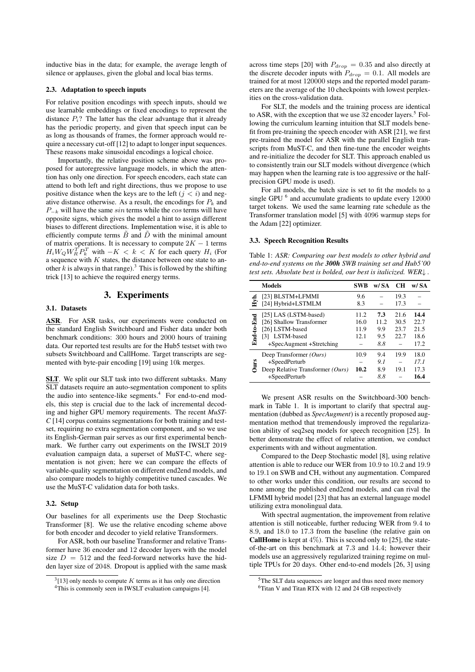inductive bias in the data; for example, the average length of silence or applauses, given the global and local bias terms.

#### 2.3. Adaptation to speech inputs

For relative position encodings with speech inputs, should we use learnable embeddings or fixed encodings to represent the distance  $P_i$ ? The latter has the clear advantage that it already has the periodic property, and given that speech input can be as long as thousands of frames, the former approach would require a necessary cut-off [12] to adapt to longer input sequences. These reasons make sinusoidal encodings a logical choice.

Importantly, the relative position scheme above was proposed for autoregressive language models, in which the attention has only one direction. For speech encoders, each state can attend to both left and right directions, thus we propose to use positive distance when the keys are to the left  $(j < i)$  and negative distance otherwise. As a result, the encodings for  $P_k$  and  $P_{-k}$  will have the same sin terms while the cos terms will have opposite signs, which gives the model a hint to assign different biases to different directions. Implementation wise, it is able to efficiently compute terms  $\tilde{B}$  and  $\tilde{D}$  with the minimal amount of matrix operations. It is necessary to compute  $2K - 1$  terms  $H_i W_Q W_R^T P_k^T$  with  $-K < k < K$  for each query  $H_i$  (For a sequence with  $K$  states, the distance between one state to another k is always in that range).<sup>3</sup> This is followed by the shifting trick [13] to achieve the required energy terms.

# 3. Experiments

### 3.1. Datasets

ASR. For ASR tasks, our experiments were conducted on the standard English Switchboard and Fisher data under both benchmark conditions: 300 hours and 2000 hours of training data. Our reported test results are for the Hub5 testset with two subsets Switchboard and CallHome. Target transcripts are segmented with byte-pair encoding [19] using 10k merges.

SLT. We split our SLT task into two different subtasks. Many SLT datasets require an auto-segmentation component to splits the audio into sentence-like segments.<sup>4</sup> For end-to-end models, this step is crucial due to the lack of incremental decoding and higher GPU memory requirements. The recent *MuST-C* [14] corpus contains segmentations for both training and testset, requiring no extra segmentation component, and so we use its English-German pair serves as our first experimental benchmark. We further carry out experiments on the IWSLT 2019 evaluation campaign data, a superset of MuST-C, where segmentation is not given; here we can compare the effects of variable-quality segmentation on different end2end models, and also compare models to highly competitive tuned cascades. We use the MuST-C validation data for both tasks.

### 3.2. Setup

Our baselines for all experiments use the Deep Stochastic Transformer [8]. We use the relative encoding scheme above for both encoder and decoder to yield relative Transformers.

For ASR, both our baseline Transformer and relative Transformer have 36 encoder and 12 decoder layers with the model size  $D = 512$  and the feed-forward networks have the hidden layer size of 2048. Dropout is applied with the same mask across time steps [20] with  $P_{drop} = 0.35$  and also directly at the discrete decoder inputs with  $P_{drop} = 0.1$ . All models are trained for at most 120000 steps and the reported model parameters are the average of the 10 checkpoints with lowest perplexities on the cross-validation data.

For SLT, the models and the training process are identical to ASR, with the exception that we use  $32$  encoder layers.<sup>5</sup> Following the curriculum learning intuition that SLT models benefit from pre-training the speech encoder with ASR [21], we first pre-trained the model for ASR with the parallel English transcripts from MuST-C, and then fine-tune the encoder weights and re-initialize the decoder for SLT. This approach enabled us to consistently train our SLT models without divergence (which may happen when the learning rate is too aggressive or the halfprecision GPU mode is used).

For all models, the batch size is set to fit the models to a single GPU  $<sup>6</sup>$  and accumulate gradients to update every 12000</sup> target tokens. We used the same learning rate schedule as the Transformer translation model [5] with 4096 warmup steps for the Adam [22] optimizer.

### 3.3. Speech Recognition Results

Table 1: *ASR: Comparing our best models to other hybrid and end-to-end systems on the 300h SWB training set and Hub5'00 test sets. Absolute best is bolded, our best is italicized. WER*↓ *.*

|            | <b>Models</b>                    | <b>SWB</b> | w/ SA | <b>CH</b> | w/ SA |
|------------|----------------------------------|------------|-------|-----------|-------|
|            | [23] BLSTM+LFMMI                 | 9.6        |       | 19.3      |       |
|            | [24] Hybrid+LSTMLM               | 8.3        |       | 17.3      |       |
| End-to-End | [25] LAS (LSTM-based)            | 11.2       | 7.3   | 21.6      | 14.4  |
|            | [26] Shallow Transformer         | 16.0       | 11.2  | 30.5      | 22.7  |
|            | [26] LSTM-based                  | 11.9       | 9.9   | 23.7      | 21.5  |
|            | [3] LSTM-based                   | 12.1       | 9.5   | 22.7      | 18.6  |
|            | +SpecAugment +Stretching         |            | 8.8   |           | 17.2  |
| Jurs       | Deep Transformer (Ours)          | 10.9       | 9.4   | 19.9      | 18.0  |
|            | +SpeedPerturb                    |            | 9.1   |           | 17.1  |
|            | Deep Relative Transformer (Ours) | 10.2       | 8.9   | 19.1      | 17.3  |
|            | +SpeedPerturb                    |            | 8.8   |           | 16.4  |

We present ASR results on the Switchboard-300 benchmark in Table 1. It is important to clarify that spectral augmentation (dubbed as *SpecAugment*) is a recently proposed augmentation method that tremendously improved the regularization ability of seq2seq models for speech recognition [25]. In better demonstrate the effect of relative attention, we conduct experiments with and without augmentation.

Compared to the Deep Stochastic model [8], using relative attention is able to reduce our WER from 10.9 to 10.2 and 19.9 to 19.1 on SWB and CH, without any augmentation. Compared to other works under this condition, our results are second to none among the published end2end models, and can rival the LFMMI hybrid model [23] that has an external language model utilizing extra monolingual data.

With spectral augmentation, the improvement from relative attention is still noticeable, further reducing WER from 9.4 to 8.9, and 18.0 to 17.3 from the baseline (the relative gain on **CallHome** is kept at  $4\%$ ). This is second only to [25], the stateof-the-art on this benchmark at 7.3 and 14.4; however their models use an aggressively regularized training regime on multiple TPUs for 20 days. Other end-to-end models [26, 3] using

 $3$ [13] only needs to compute K terms as it has only one direction <sup>4</sup>This is commonly seen in IWSLT evaluation campaigns [4].

<sup>&</sup>lt;sup>5</sup>The SLT data sequences are longer and thus need more memory <sup>6</sup>Titan V and Titan RTX with 12 and 24 GB respectively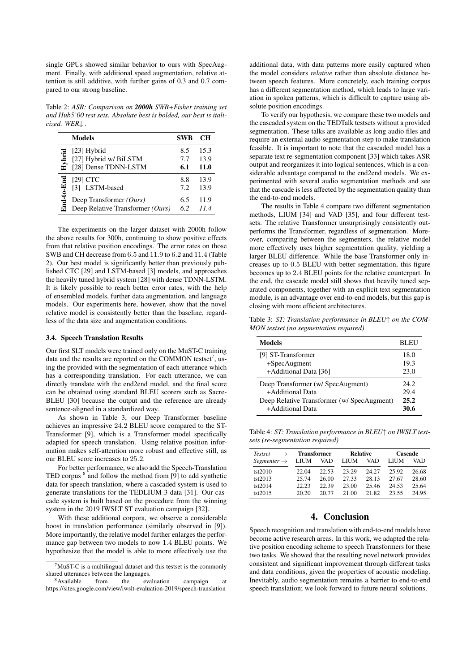single GPUs showed similar behavior to ours with SpecAugment. Finally, with additional speed augmentation, relative attention is still additive, with further gains of 0.3 and 0.7 compared to our strong baseline.

Table 2: *ASR: Comparison on 2000h SWB+Fisher training set and Hub5'00 test sets. Absolute best is bolded, our best is italicized. WER*↓ *.*

|            | <b>Models</b>                    | <b>SWB</b> | CН          |
|------------|----------------------------------|------------|-------------|
| Hybrid     | [23] Hybrid                      | 8.5        | 15.3        |
|            | [27] Hybrid w/ BiLSTM            | 7.7        | 13.9        |
|            | [28] Dense TDNN-LSTM             | 6.1        | <b>11.0</b> |
| End-to-End | $[29]$ CTC                       | 8.8        | 13.9        |
|            | [3] LSTM-based                   | 7.2        | 13.9        |
|            | Deep Transformer $(Ours)$        | 6.5        | 11.9        |
|            | Deep Relative Transformer (Ours) | 6.2        | 11.4        |

The experiments on the larger dataset with 2000h follow the above results for 300h, continuing to show positive effects from that relative position encodings. The error rates on those SWB and CH decrease from 6.5 and 11.9 to 6.2 and 11.4 (Table 2). Our best model is significantly better than previously published CTC [29] and LSTM-based [3] models, and approaches the heavily tuned hybrid system [28] with dense TDNN-LSTM. It is likely possible to reach better error rates, with the help of ensembled models, further data augmentation, and language models. Our experiments here, however, show that the novel relative model is consistently better than the baseline, regardless of the data size and augmentation conditions.

### 3.4. Speech Translation Results

Our first SLT models were trained only on the MuST-C training data and the results are reported on the COMMON testset<sup>7</sup>, using the provided with the segmentation of each utterance which has a corresponding translation. For each utterance, we can directly translate with the end2end model, and the final score can be obtained using standard BLEU scorers such as Sacre-BLEU [30] because the output and the reference are already sentence-aligned in a standardized way.

As shown in Table 3, our Deep Transformer baseline achieves an impressive 24.2 BLEU score compared to the ST-Transformer [9], which is a Transformer model specifically adapted for speech translation. Using relative position information makes self-attention more robust and effective still, as our BLEU score increases to 25.2.

For better performance, we also add the Speech-Translation TED corpus <sup>8</sup> and follow the method from [9] to add synthetic data for speech translation, where a cascaded system is used to generate translations for the TEDLIUM-3 data [31]. Our cascade system is built based on the procedure from the winning system in the 2019 IWSLT ST evaluation campaign [32].

With these additional corpora, we observe a considerable boost in translation performance (similarly observed in [9]). More importantly, the relative model further enlarges the performance gap between two models to now 1.4 BLEU points. We hypothesize that the model is able to more effectively use the

additional data, with data patterns more easily captured when the model considers *relative* rather than absolute distance between speech features. More concretely, each training corpus has a different segmentation method, which leads to large variation in spoken patterns, which is difficult to capture using absolute position encodings.

To verify our hypothesis, we compare these two models and the cascaded system on the TEDTalk testsets without a provided segmentation. These talks are available as long audio files and require an external audio segmentation step to make translation feasible. It is important to note that the cascaded model has a separate text re-segmentation component [33] which takes ASR output and reorganizes it into logical sentences, which is a considerable advantage compared to the end2end models. We experimented with several audio segmentation methods and see that the cascade is less affected by the segmentation quality than the end-to-end models.

The results in Table 4 compare two different segmentation methods, LIUM [34] and VAD [35], and four different testsets. The relative Transformer unsurprisingly consistently outperforms the Transformer, regardless of segmentation. Moreover, comparing between the segmenters, the relative model more effectively uses higher segmentation quality, yielding a larger BLEU difference. While the base Transformer only increases up to 0.5 BLEU with better segmentation, this figure becomes up to 2.4 BLEU points for the relative counterpart. In the end, the cascade model still shows that heavily tuned separated components, together with an explicit text segmentation module, is an advantage over end-to-end models, but this gap is closing with more efficient architectures.

Table 3: *ST: Translation performance in BLEU*↑ *on the COM-MON testset (no segmentation required)*

| Models                                                                                                                  | BLEU                 |
|-------------------------------------------------------------------------------------------------------------------------|----------------------|
| [9] ST-Transformer<br>$+SpecAugment$<br>+Additional Data [36]                                                           | 18.0<br>19.3<br>23.0 |
| Deep Transformer (w/ SpecAugment)<br>+Additional Data<br>Deep Relative Transformer (w/ SpecAugment)<br>+Additional Data |                      |

Table 4: *ST: Translation performance in BLEU*↑ *on IWSLT testsets (re-segmentation required)*

| Testset                 | <b>Transformer</b> |            | <b>Relative</b> |       | Cascade     |       |
|-------------------------|--------------------|------------|-----------------|-------|-------------|-------|
| Segmenter $\rightarrow$ | LIUM               | <b>VAD</b> | <b>LIUM</b>     | VAD   | <b>LIUM</b> | VAD   |
| tst2010                 | 22.04              | 22.53      | 23.29           | 24.27 | 25.92       | 26.68 |
| tst2013                 | 25.74              | 26.00      | 27.33           | 28.13 | 27.67       | 28.60 |
| tst2014                 | 22.23              | 22.39      | 23.00           | 25.46 | 24.53       | 25.64 |
| tst2015                 | 20.20              | 20.77      | 21.00           | 21.82 | 23.55       | 24.95 |

# 4. Conclusion

Speech recognition and translation with end-to-end models have become active research areas. In this work, we adapted the relative position encoding scheme to speech Transformers for these two tasks. We showed that the resulting novel network provides consistent and significant improvement through different tasks and data conditions, given the properties of acoustic modeling. Inevitably, audio segmentation remains a barrier to end-to-end speech translation; we look forward to future neural solutions.

 $7$ MuST-C is a multilingual dataset and this testset is the commonly shared utterances between the languages.

<sup>8</sup>Available from the evaluation campaign at https://sites.google.com/view/iwslt-evaluation-2019/speech-translation